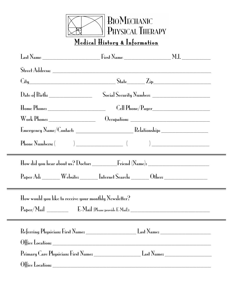|                                                                                  | $\frac{1}{2}$ BIOMECHANIC<br>PHYSICAL THERAPY<br>Medical History & Information |  |
|----------------------------------------------------------------------------------|--------------------------------------------------------------------------------|--|
|                                                                                  |                                                                                |  |
|                                                                                  |                                                                                |  |
| $City$ $City$ $Step$ $Zip$                                                       |                                                                                |  |
|                                                                                  |                                                                                |  |
|                                                                                  |                                                                                |  |
|                                                                                  |                                                                                |  |
|                                                                                  |                                                                                |  |
|                                                                                  |                                                                                |  |
|                                                                                  |                                                                                |  |
| Paper Ad: _______ Website: _______ Internet Search: _______ Other: _____________ |                                                                                |  |
| How would you like to receive your monthly Newsletter?                           |                                                                                |  |
|                                                                                  |                                                                                |  |
|                                                                                  |                                                                                |  |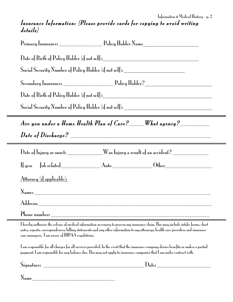## Insurance Information: (Please provide cards for copying to avoid writing details)

|                                                 | Date of Birth of Policy Holder (if not self):___________________________________                                                                                                                                                                                          |  |
|-------------------------------------------------|---------------------------------------------------------------------------------------------------------------------------------------------------------------------------------------------------------------------------------------------------------------------------|--|
|                                                 | Social Security Number of Policy Holder (if not self): _________________________                                                                                                                                                                                          |  |
|                                                 |                                                                                                                                                                                                                                                                           |  |
|                                                 | Date of Birth of Policy Holder (if not self): National Policy Holder (if not self):                                                                                                                                                                                       |  |
|                                                 | Social Security Number of Policy Holder (if not self): _________________________                                                                                                                                                                                          |  |
|                                                 | Are you under a Home Health Plan of Care? ____What agency? ________                                                                                                                                                                                                       |  |
|                                                 | $\emph{Date of Discharge?}$                                                                                                                                                                                                                                               |  |
|                                                 | Date of Injury or onset: __________Was Injury a result of an accident? __________                                                                                                                                                                                         |  |
|                                                 |                                                                                                                                                                                                                                                                           |  |
| Attorney (if applicable):                       |                                                                                                                                                                                                                                                                           |  |
|                                                 |                                                                                                                                                                                                                                                                           |  |
|                                                 |                                                                                                                                                                                                                                                                           |  |
| Phone number:                                   | <u> 1980 - Johann Barbara, martxa alemaniar a</u>                                                                                                                                                                                                                         |  |
| case managers. 1 am aware of HIPAA regulations. | I hereby authorize the release of medical information necessary to process my insurance claim. This may include intake forms, chart<br>notes, reports, correspondences, billing statements and any other information to my attorneys, health care providers and insurance |  |
|                                                 | I am responsible for all charges for all services provided. In the event that the insurance company denies benefits or makes a partial<br>payment, 1 am responsible for any balance due. This may not apply to insurance companies that 1 am under contract with.         |  |
|                                                 | $\int$ Date:                                                                                                                                                                                                                                                              |  |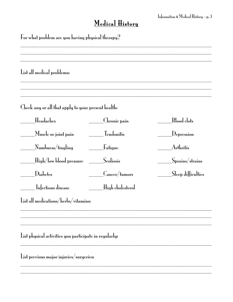## Medical History

| List all medical problems:                             |                                                 |                                           |
|--------------------------------------------------------|-------------------------------------------------|-------------------------------------------|
| Check any or all that apply to your present health:    |                                                 |                                           |
| Headaches                                              | ______Chronic pain                              | Blood clots                               |
| Muscle or joint pain                                   | <b>Tendonitis</b>                               | $\rm\left\lfloor Depression\right\rfloor$ |
| Numbness/tingling_                                     | <b>Eatigue</b>                                  | Arthritis                                 |
| .High/low blood pressure                               | Scoliosis                                       | Sprains/strains_                          |
| Diabetes                                               | $\mathcal{L}_{\mathbf{ancer}/\mathbf{turnors}}$ | Sleep difficulties                        |
| Infectious disease                                     | High cholesterol_                               |                                           |
| List all medications/herbs/vitamins:                   |                                                 |                                           |
|                                                        |                                                 |                                           |
|                                                        |                                                 |                                           |
| List physical activities you participate in regularly: |                                                 |                                           |

\_\_\_\_\_\_\_\_\_\_\_\_\_\_\_\_\_\_\_\_\_\_\_\_\_\_\_\_\_\_\_\_\_\_\_\_\_\_\_\_\_\_\_\_\_\_\_\_\_\_\_\_\_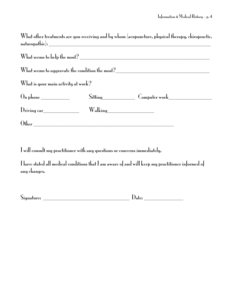What other treatments are you receiving and by whom (acupuncture, physical therapy, chiropractic, naturopathic): \_\_\_\_\_\_\_\_\_\_\_\_\_\_\_\_\_\_\_\_\_\_\_\_\_\_\_\_\_\_\_\_\_\_\_\_\_\_\_\_\_\_\_\_\_

|                                                                                                                                                                                                                                                                                                                                                                                                 | What seems to aggravate the condition the most?_________________________________ |  |
|-------------------------------------------------------------------------------------------------------------------------------------------------------------------------------------------------------------------------------------------------------------------------------------------------------------------------------------------------------------------------------------------------|----------------------------------------------------------------------------------|--|
| What is your main activity at work?                                                                                                                                                                                                                                                                                                                                                             |                                                                                  |  |
| $\begin{picture}(18,17) \put(0,0){\dashbox{0}} \put(15,0){\dashbox{0}} \put(15,0){\dashbox{0}} \put(15,0){\dashbox{0}} \put(15,0){\dashbox{0}} \put(15,0){\dashbox{0}} \put(15,0){\dashbox{0}} \put(15,0){\dashbox{0}} \put(15,0){\dashbox{0}} \put(15,0){\dashbox{0}} \put(15,0){\dashbox{0}} \put(15,0){\dashbox{0}} \put(15,0){\dashbox{0}} \put(15,0){\dashbox{0}} \put(15,0){\dashbox{0}}$ | Sitting Computer work                                                            |  |
| Driving car                                                                                                                                                                                                                                                                                                                                                                                     | Walking_________________                                                         |  |
|                                                                                                                                                                                                                                                                                                                                                                                                 |                                                                                  |  |

I will consult my practitioner with any questions or concerns immediately.

I have stated all medical conditions that Iam aware of and will keep my practitioner informed of any changes.

| $\sim$<br>$\mathbf{N}$ gna<br>qnature: |  |
|----------------------------------------|--|
|                                        |  |